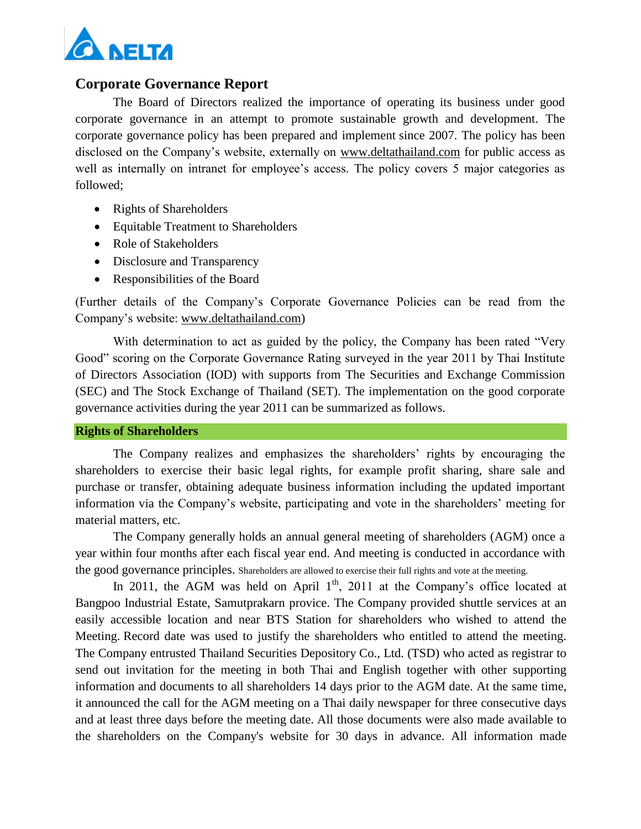

## **Corporate Governance Report**

The Board of Directors realized the importance of operating its business under good corporate governance in an attempt to promote sustainable growth and development. The corporate governance policy has been prepared and implement since 2007. The policy has been disclosed on the Company's website, externally on www.deltathailand.com for public access as well as internally on intranet for employee's access. The policy covers 5 major categories as followed;

- Rights of Shareholders
- Equitable Treatment to Shareholders
- Role of Stakeholders
- Disclosure and Transparency
- Responsibilities of the Board

(Further details of the Company's Corporate Governance Policies can be read from the Company's website: [www.deltathailand.com\)](http://www.deltathailand.com/)

With determination to act as guided by the policy, the Company has been rated "Very Good" scoring on the Corporate Governance Rating surveyed in the year 2011 by Thai Institute of Directors Association (IOD) with supports from The Securities and Exchange Commission (SEC) and The Stock Exchange of Thailand (SET). The implementation on the good corporate governance activities during the year 2011 can be summarized as follows.

#### **Rights of Shareholders**

The Company realizes and emphasizes the shareholders' rights by encouraging the shareholders to exercise their basic legal rights, for example profit sharing, share sale and purchase or transfer, obtaining adequate business information including the updated important information via the Company's website, participating and vote in the shareholders' meeting for material matters, etc.

The Company generally holds an annual general meeting of shareholders (AGM) once a year within four months after each fiscal year end. And meeting is conducted in accordance with the good governance principles. Shareholders are allowed to exercise their full rights and vote at the meeting.

In 2011, the AGM was held on April  $1<sup>th</sup>$ , 2011 at the Company's office located at Bangpoo Industrial Estate, Samutprakarn provice. The Company provided shuttle services at an easily accessible location and near BTS Station for shareholders who wished to attend the Meeting. Record date was used to justify the shareholders who entitled to attend the meeting. The Company entrusted Thailand Securities Depository Co., Ltd. (TSD) who acted as registrar to send out invitation for the meeting in both Thai and English together with other supporting information and documents to all shareholders 14 days prior to the AGM date. At the same time, it announced the call for the AGM meeting on a Thai daily newspaper for three consecutive days and at least three days before the meeting date. All those documents were also made available to the shareholders on the Company's website for 30 days in advance. All information made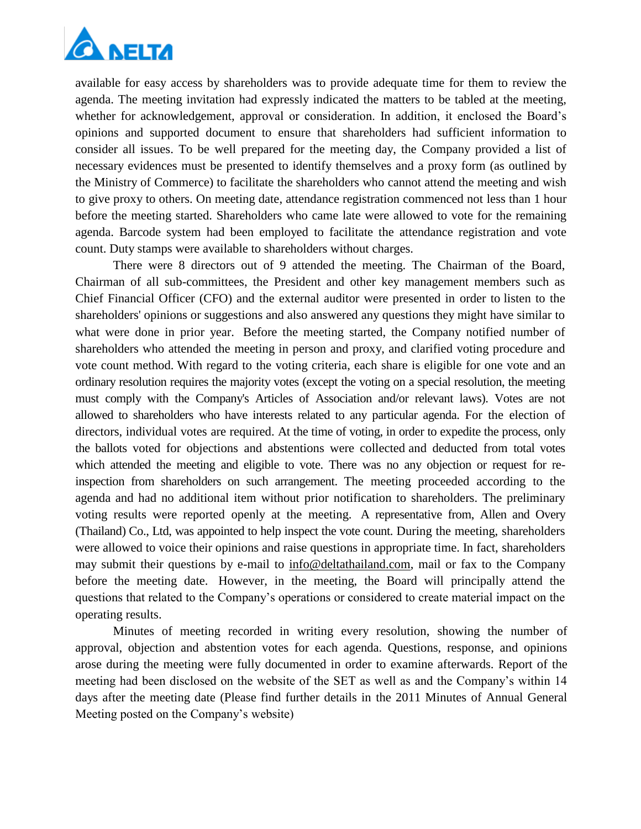

available for easy access by shareholders was to provide adequate time for them to review the agenda. The meeting invitation had expressly indicated the matters to be tabled at the meeting, whether for acknowledgement, approval or consideration. In addition, it enclosed the Board's opinions and supported document to ensure that shareholders had sufficient information to consider all issues. To be well prepared for the meeting day, the Company provided a list of necessary evidences must be presented to identify themselves and a proxy form (as outlined by the Ministry of Commerce) to facilitate the shareholders who cannot attend the meeting and wish to give proxy to others. On meeting date, attendance registration commenced not less than 1 hour before the meeting started. Shareholders who came late were allowed to vote for the remaining agenda. Barcode system had been employed to facilitate the attendance registration and vote count. Duty stamps were available to shareholders without charges.

There were 8 directors out of 9 attended the meeting. The Chairman of the Board, Chairman of all sub-committees, the President and other key management members such as Chief Financial Officer (CFO) and the external auditor were presented in order to listen to the shareholders' opinions or suggestions and also answered any questions they might have similar to what were done in prior year. Before the meeting started, the Company notified number of shareholders who attended the meeting in person and proxy, and clarified voting procedure and vote count method. With regard to the voting criteria, each share is eligible for one vote and an ordinary resolution requires the majority votes (except the voting on a special resolution, the meeting must comply with the Company's Articles of Association and/or relevant laws). Votes are not allowed to shareholders who have interests related to any particular agenda. For the election of directors, individual votes are required. At the time of voting, in order to expedite the process, only the ballots voted for objections and abstentions were collected and deducted from total votes which attended the meeting and eligible to vote. There was no any objection or request for reinspection from shareholders on such arrangement. The meeting proceeded according to the agenda and had no additional item without prior notification to shareholders. The preliminary voting results were reported openly at the meeting. A representative from, Allen and Overy (Thailand) Co., Ltd, was appointed to help inspect the vote count. During the meeting, shareholders were allowed to voice their opinions and raise questions in appropriate time. In fact, shareholders may submit their questions by e-mail to [info@deltathailand.com,](mailto:info@deltathailand.com) mail or fax to the Company before the meeting date. However, in the meeting, the Board will principally attend the questions that related to the Company's operations or considered to create material impact on the operating results.

Minutes of meeting recorded in writing every resolution, showing the number of approval, objection and abstention votes for each agenda. Questions, response, and opinions arose during the meeting were fully documented in order to examine afterwards. Report of the meeting had been disclosed on the website of the SET as well as and the Company's within 14 days after the meeting date (Please find further details in the 2011 Minutes of Annual General Meeting posted on the Company's website)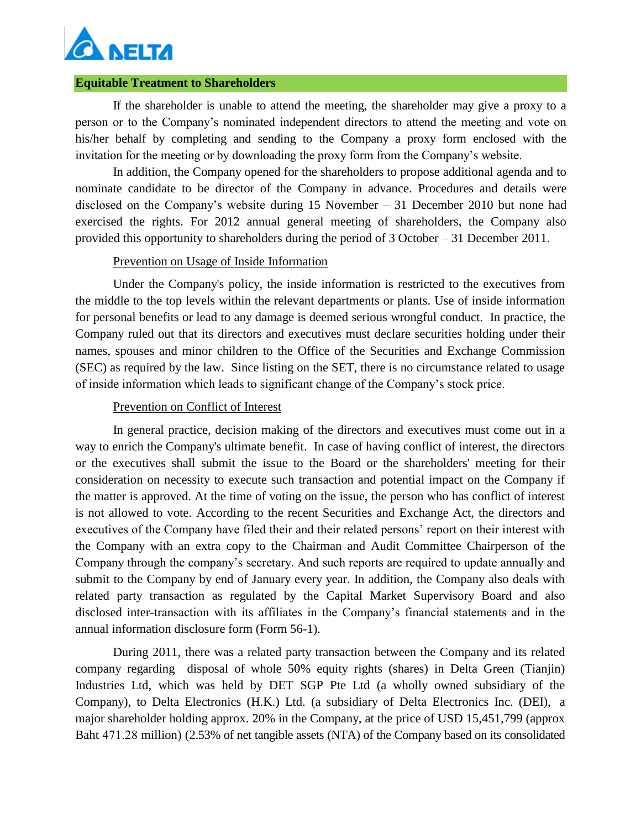

#### **Equitable Treatment to Shareholders**

If the shareholder is unable to attend the meeting, the shareholder may give a proxy to a person or to the Company's nominated independent directors to attend the meeting and vote on his/her behalf by completing and sending to the Company a proxy form enclosed with the invitation for the meeting or by downloading the proxy form from the Company's website.

In addition, the Company opened for the shareholders to propose additional agenda and to nominate candidate to be director of the Company in advance. Procedures and details were disclosed on the Company's website during 15 November – 31 December 2010 but none had exercised the rights. For 2012 annual general meeting of shareholders, the Company also provided this opportunity to shareholders during the period of 3 October – 31 December 2011.

#### Prevention on Usage of Inside Information

Under the Company's policy, the inside information is restricted to the executives from the middle to the top levels within the relevant departments or plants. Use of inside information for personal benefits or lead to any damage is deemed serious wrongful conduct. In practice, the Company ruled out that its directors and executives must declare securities holding under their names, spouses and minor children to the Office of the Securities and Exchange Commission (SEC) as required by the law. Since listing on the SET, there is no circumstance related to usage of inside information which leads to significant change of the Company's stock price.

### Prevention on Conflict of Interest

In general practice, decision making of the directors and executives must come out in a way to enrich the Company's ultimate benefit. In case of having conflict of interest, the directors or the executives shall submit the issue to the Board or the shareholders' meeting for their consideration on necessity to execute such transaction and potential impact on the Company if the matter is approved. At the time of voting on the issue, the person who has conflict of interest is not allowed to vote. According to the recent Securities and Exchange Act, the directors and executives of the Company have filed their and their related persons' report on their interest with the Company with an extra copy to the Chairman and Audit Committee Chairperson of the Company through the company's secretary. And such reports are required to update annually and submit to the Company by end of January every year. In addition, the Company also deals with related party transaction as regulated by the Capital Market Supervisory Board and also disclosed inter-transaction with its affiliates in the Company's financial statements and in the annual information disclosure form (Form 56-1).

During 2011, there was a related party transaction between the Company and its related company regarding disposal of whole 50% equity rights (shares) in Delta Green (Tianjin) Industries Ltd, which was held by DET SGP Pte Ltd (a wholly owned subsidiary of the Company), to Delta Electronics (H.K.) Ltd. (a subsidiary of Delta Electronics Inc. (DEI), a major shareholder holding approx. 20% in the Company, at the price of USD 15,451,799 (approx Baht 471.28 million) (2.53% of net tangible assets (NTA) of the Company based on its consolidated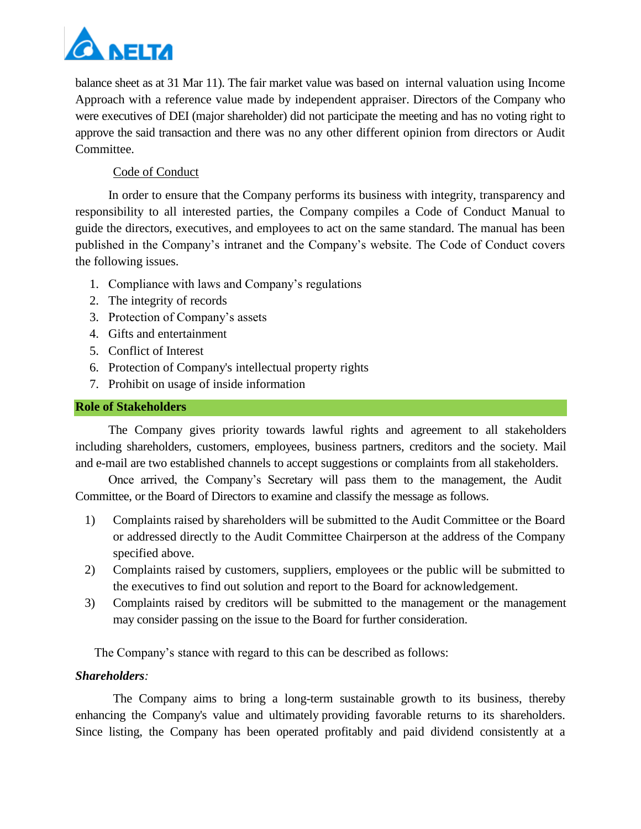

balance sheet as at 31 Mar 11). The fair market value was based on internal valuation using Income Approach with a reference value made by independent appraiser. Directors of the Company who were executives of DEI (major shareholder) did not participate the meeting and has no voting right to approve the said transaction and there was no any other different opinion from directors or Audit Committee.

## Code of Conduct

In order to ensure that the Company performs its business with integrity, transparency and responsibility to all interested parties, the Company compiles a Code of Conduct Manual to guide the directors, executives, and employees to act on the same standard. The manual has been published in the Company's intranet and the Company's website. The Code of Conduct covers the following issues.

- 1. Compliance with laws and Company's regulations
- 2. The integrity of records
- 3. Protection of Company's assets
- 4. Gifts and entertainment
- 5. Conflict of Interest
- 6. Protection of Company's intellectual property rights
- 7. Prohibit on usage of inside information

### **Role of Stakeholders**

The Company gives priority towards lawful rights and agreement to all stakeholders including shareholders, customers, employees, business partners, creditors and the society. Mail and e-mail are two established channels to accept suggestions or complaints from all stakeholders.

Once arrived, the Company's Secretary will pass them to the management, the Audit Committee, or the Board of Directors to examine and classify the message as follows.

- 1) Complaints raised by shareholders will be submitted to the Audit Committee or the Board or addressed directly to the Audit Committee Chairperson at the address of the Company specified above.
- 2) Complaints raised by customers, suppliers, employees or the public will be submitted to the executives to find out solution and report to the Board for acknowledgement.
- 3) Complaints raised by creditors will be submitted to the management or the management may consider passing on the issue to the Board for further consideration.

The Company's stance with regard to this can be described as follows:

## *Shareholders:*

The Company aims to bring a long-term sustainable growth to its business, thereby enhancing the Company's value and ultimately providing favorable returns to its shareholders. Since listing, the Company has been operated profitably and paid dividend consistently at a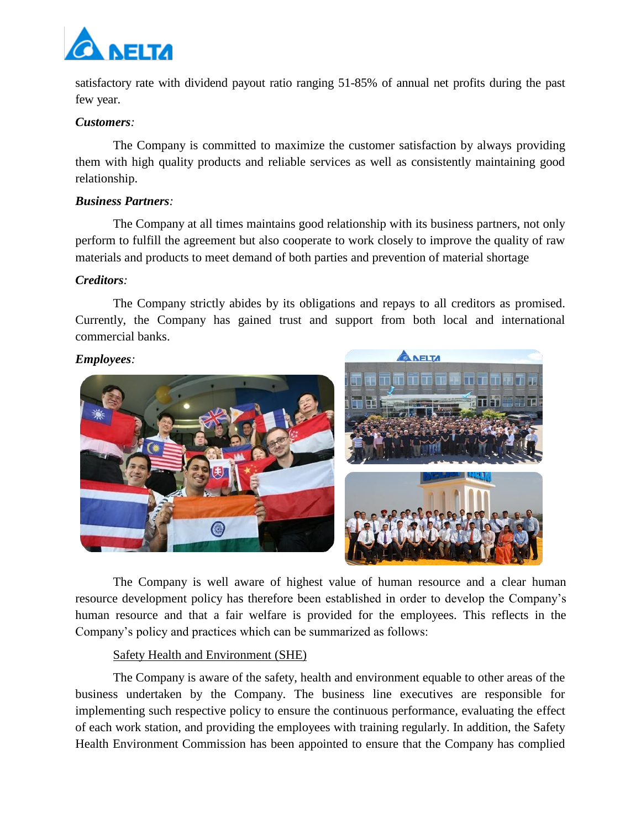

satisfactory rate with dividend payout ratio ranging 51-85% of annual net profits during the past few year.

#### *Customers:*

The Company is committed to maximize the customer satisfaction by always providing them with high quality products and reliable services as well as consistently maintaining good relationship.

#### *Business Partners:*

The Company at all times maintains good relationship with its business partners, not only perform to fulfill the agreement but also cooperate to work closely to improve the quality of raw materials and products to meet demand of both parties and prevention of material shortage

#### *Creditors:*

The Company strictly abides by its obligations and repays to all creditors as promised. Currently, the Company has gained trust and support from both local and international commercial banks.

#### *Employees:*



The Company is well aware of highest value of human resource and a clear human resource development policy has therefore been established in order to develop the Company's human resource and that a fair welfare is provided for the employees. This reflects in the Company's policy and practices which can be summarized as follows:

#### Safety Health and Environment (SHE)

The Company is aware of the safety, health and environment equable to other areas of the business undertaken by the Company. The business line executives are responsible for implementing such respective policy to ensure the continuous performance, evaluating the effect of each work station, and providing the employees with training regularly. In addition, the Safety Health Environment Commission has been appointed to ensure that the Company has complied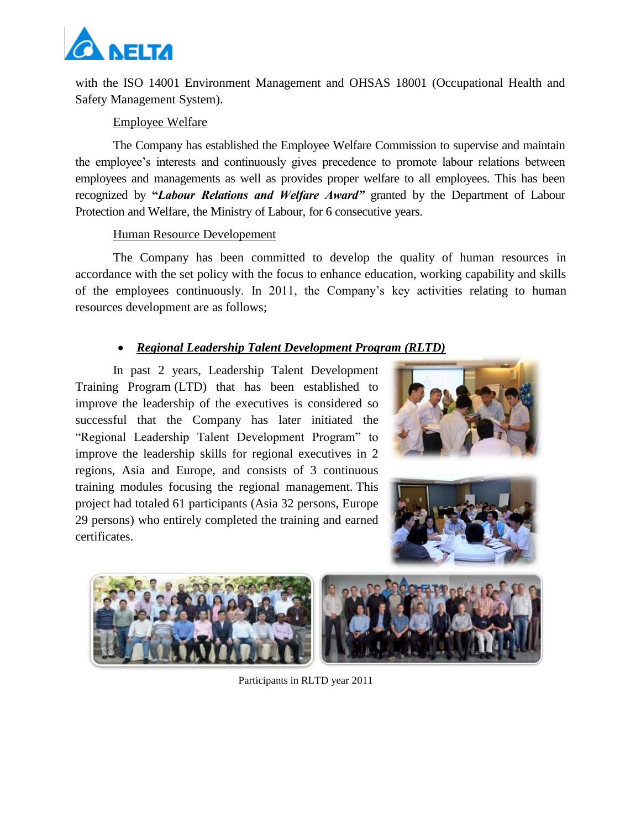

with the ISO 14001 Environment Management and OHSAS 18001 (Occupational Health and Safety Management System).

### Employee Welfare

The Company has established the Employee Welfare Commission to supervise and maintain the employee's interests and continuously gives precedence to promote labour relations between employees and managements as well as provides proper welfare to all employees. This has been recognized by **"***Labour Relations and Welfare Award"* granted by the Department of Labour Protection and Welfare, the Ministry of Labour, for 6 consecutive years.

#### Human Resource Developement

The Company has been committed to develop the quality of human resources in accordance with the set policy with the focus to enhance education, working capability and skills of the employees continuously. In 2011, the Company's key activities relating to human resources development are as follows;

# *Regional Leadership Talent Development Program (RLTD)*

In past 2 years, Leadership Talent Development Training Program (LTD) that has been established to improve the leadership of the executives is considered so successful that the Company has later initiated the "Regional Leadership Talent Development Program" to improve the leadership skills for regional executives in 2 regions, Asia and Europe, and consists of 3 continuous training modules focusing the regional management. This project had totaled 61 participants (Asia 32 persons, Europe 29 persons) who entirely completed the training and earned certificates.









Participants in RLTD year 2011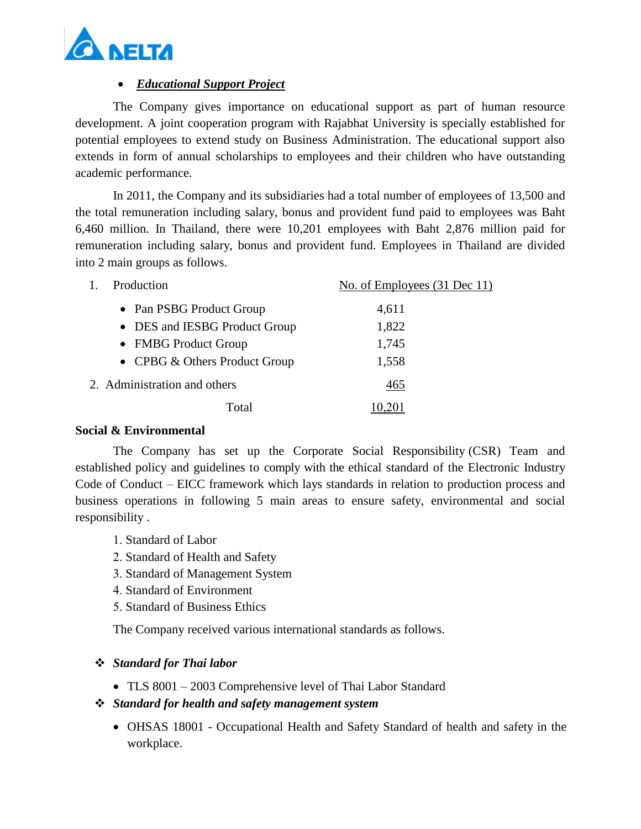

## *Educational Support Project*

The Company gives importance on educational support as part of human resource development. A joint cooperation program with Rajabhat University is specially established for potential employees to extend study on Business Administration. The educational support also extends in form of annual scholarships to employees and their children who have outstanding academic performance.

In 2011, the Company and its subsidiaries had a total number of employees of 13,500 and the total remuneration including salary, bonus and provident fund paid to employees was Baht 6,460 million. In Thailand, there were 10,201 employees with Baht 2,876 million paid for remuneration including salary, bonus and provident fund. Employees in Thailand are divided into 2 main groups as follows.

| Production                    | No. of Employees (31 Dec 11) |
|-------------------------------|------------------------------|
| • Pan PSBG Product Group      | 4,611                        |
| • DES and IESBG Product Group | 1,822                        |
| • FMBG Product Group          | 1,745                        |
| • CPBG & Others Product Group | 1,558                        |
| 2. Administration and others  | 465                          |
| Total                         |                              |

#### **Social & Environmental**

The Company has set up the Corporate Social Responsibility (CSR) Team and established policy and guidelines to comply with the ethical standard of the Electronic Industry Code of Conduct – EICC framework which lays standards in relation to production process and business operations in following 5 main areas to ensure safety, environmental and social responsibility .

- 1. Standard of Labor
- 2. Standard of Health and Safety
- 3. Standard of Management System
- 4. Standard of Environment
- 5. Standard of Business Ethics

The Company received various international standards as follows.

## *Standard for Thai labor*

TLS 8001 – 2003 Comprehensive level of Thai Labor Standard

## *Standard for health and safety management system*

 OHSAS 18001 - Occupational Health and Safety Standard of health and safety in the workplace.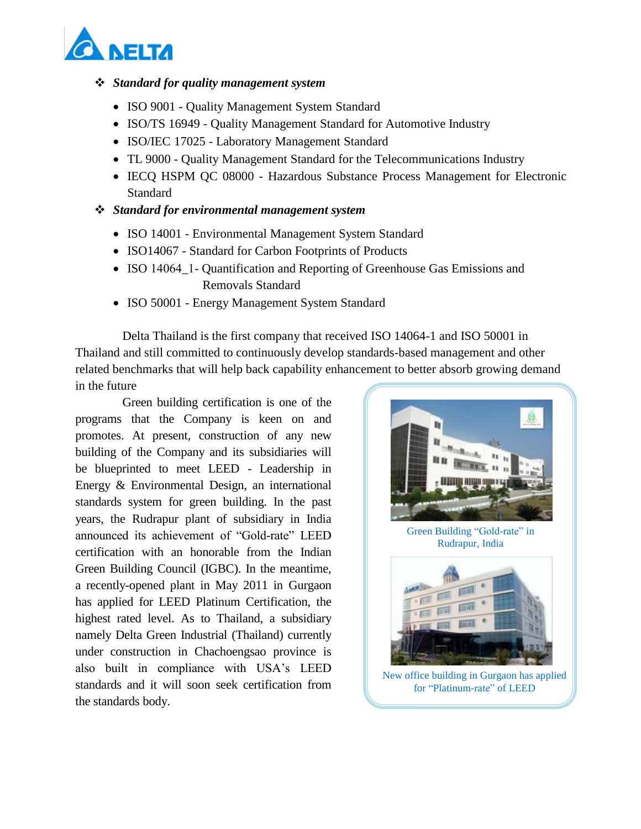

#### *Standard for quality management system*

- ISO 9001 Quality Management System Standard
- ISO/TS 16949 Quality Management Standard for Automotive Industry
- ISO/IEC 17025 Laboratory Management Standard
- TL 9000 Quality Management Standard for the Telecommunications Industry
- IECQ HSPM QC 08000 Hazardous Substance Process Management for Electronic **Standard**
- *Standard for environmental management system*
	- ISO 14001 Environmental Management System Standard
	- ISO14067 Standard for Carbon Footprints of Products
	- ISO 14064\_1- Quantification and Reporting of Greenhouse Gas Emissions and Removals Standard
	- ISO 50001 Energy Management System Standard

Delta Thailand is the first company that received ISO 14064-1 and ISO 50001 in Thailand and still committed to continuously develop standards-based management and other related benchmarks that will help back capability enhancement to better absorb growing demand in the future

Green building certification is one of the programs that the Company is keen on and promotes. At present, construction of any new building of the Company and its subsidiaries will be blueprinted to meet LEED - Leadership in Energy & Environmental Design, an international standards system for green building. In the past years, the Rudrapur plant of subsidiary in India announced its achievement of "Gold-rate" LEED certification with an honorable from the Indian Green Building Council (IGBC). In the meantime, a recently-opened plant in May 2011 in Gurgaon has applied for LEED Platinum Certification, the highest rated level. As to Thailand, a subsidiary namely Delta Green Industrial (Thailand) currently under construction in Chachoengsao province is also built in compliance with USA's LEED standards and it will soon seek certification from the standards body.



Green Building "Gold-rate" in Rudrapur, India



New office building in Gurgaon has applied for "Platinum-rate" of LEED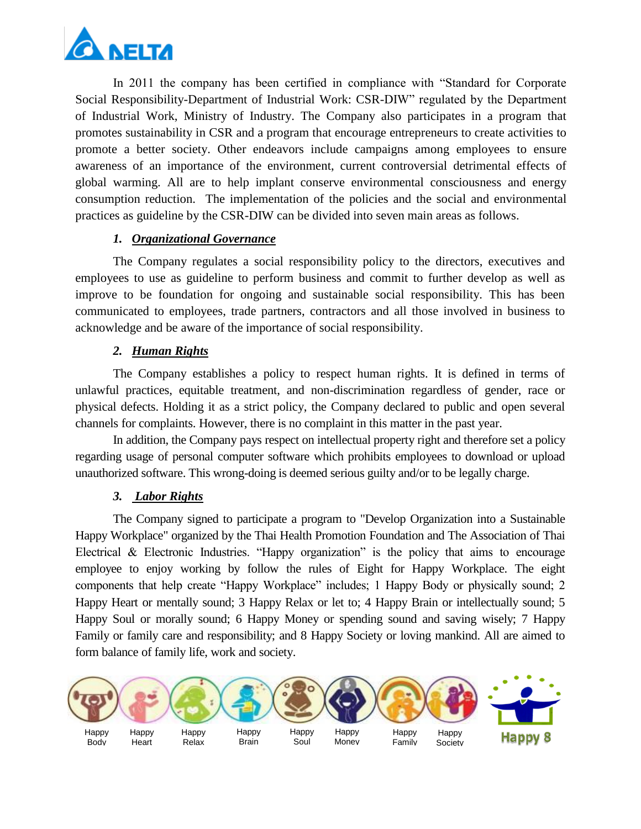

In 2011 the company has been certified in compliance with "Standard for Corporate Social Responsibility-Department of Industrial Work: CSR-DIW" regulated by the Department of Industrial Work, Ministry of Industry. The Company also participates in a program that promotes sustainability in CSR and a program that encourage entrepreneurs to create activities to promote a better society. Other endeavors include campaigns among employees to ensure awareness of an importance of the environment, current controversial detrimental effects of global warming. All are to help implant conserve environmental consciousness and energy consumption reduction. The implementation of the policies and the social and environmental practices as guideline by the CSR-DIW can be divided into seven main areas as follows.

## *1. Organizational Governance*

The Company regulates a social responsibility policy to the directors, executives and employees to use as guideline to perform business and commit to further develop as well as improve to be foundation for ongoing and sustainable social responsibility. This has been communicated to employees, trade partners, contractors and all those involved in business to acknowledge and be aware of the importance of social responsibility.

## *2. Human Rights*

The Company establishes a policy to respect human rights. It is defined in terms of unlawful practices, equitable treatment, and non-discrimination regardless of gender, race or physical defects. Holding it as a strict policy, the Company declared to public and open several channels for complaints. However, there is no complaint in this matter in the past year.

In addition, the Company pays respect on intellectual property right and therefore set a policy regarding usage of personal computer software which prohibits employees to download or upload unauthorized software. This wrong-doing is deemed serious guilty and/or to be legally charge.

## *3. Labor Rights*

The Company signed to participate a program to "Develop Organization into a Sustainable Happy Workplace" organized by the Thai Health Promotion Foundation and The Association of Thai Electrical & Electronic Industries. "Happy organization" is the policy that aims to encourage employee to enjoy working by follow the rules of Eight for Happy Workplace. The eight components that help create "Happy Workplace" includes; 1 Happy Body or physically sound; 2 Happy Heart or mentally sound; 3 Happy Relax or let to; 4 Happy Brain or intellectually sound; 5 Happy Soul or morally sound; 6 Happy Money or spending sound and saving wisely; 7 Happy Family or family care and responsibility; and 8 Happy Society or loving mankind. All are aimed to form balance of family life, work and society.

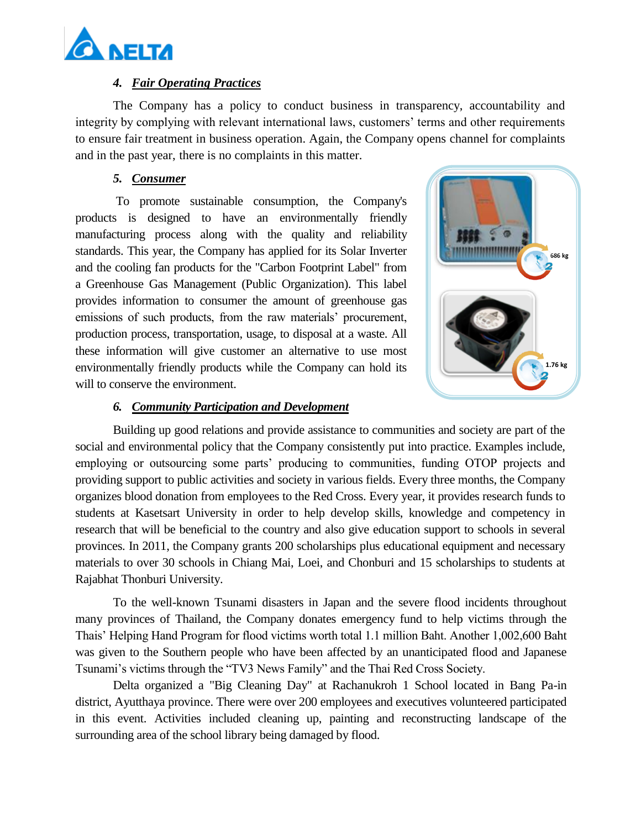

### *4. Fair Operating Practices*

The Company has a policy to conduct business in transparency, accountability and integrity by complying with relevant international laws, customers' terms and other requirements to ensure fair treatment in business operation. Again, the Company opens channel for complaints and in the past year, there is no complaints in this matter.

### *5. Consumer*

To promote sustainable consumption, the Company's products is designed to have an environmentally friendly manufacturing process along with the quality and reliability standards. This year, the Company has applied for its Solar Inverter and the cooling fan products for the "Carbon Footprint Label" from a Greenhouse Gas Management (Public Organization). This label provides information to consumer the amount of greenhouse gas emissions of such products, from the raw materials' procurement, production process, transportation, usage, to disposal at a waste. All these information will give customer an alternative to use most environmentally friendly products while the Company can hold its will to conserve the environment.



### *6. Community Participation and Development*

Building up good relations and provide assistance to communities and society are part of the social and environmental policy that the Company consistently put into practice. Examples include, employing or outsourcing some parts' producing to communities, funding OTOP projects and providing support to public activities and society in various fields. Every three months, the Company organizes blood donation from employees to the Red Cross. Every year, it provides research funds to students at Kasetsart University in order to help develop skills, knowledge and competency in research that will be beneficial to the country and also give education support to schools in several provinces. In 2011, the Company grants 200 scholarships plus educational equipment and necessary materials to over 30 schools in Chiang Mai, Loei, and Chonburi and 15 scholarships to students at Rajabhat Thonburi University.

To the well-known Tsunami disasters in Japan and the severe flood incidents throughout many provinces of Thailand, the Company donates emergency fund to help victims through the Thais' Helping Hand Program for flood victims worth total 1.1 million Baht. Another 1,002,600 Baht was given to the Southern people who have been affected by an unanticipated flood and Japanese Tsunami's victims through the "TV3 News Family" and the Thai Red Cross Society.

Delta organized a "Big Cleaning Day" at Rachanukroh 1 School located in Bang Pa-in district, Ayutthaya province. There were over 200 employees and executives volunteered participated in this event. Activities included cleaning up, painting and reconstructing landscape of the surrounding area of the school library being damaged by flood.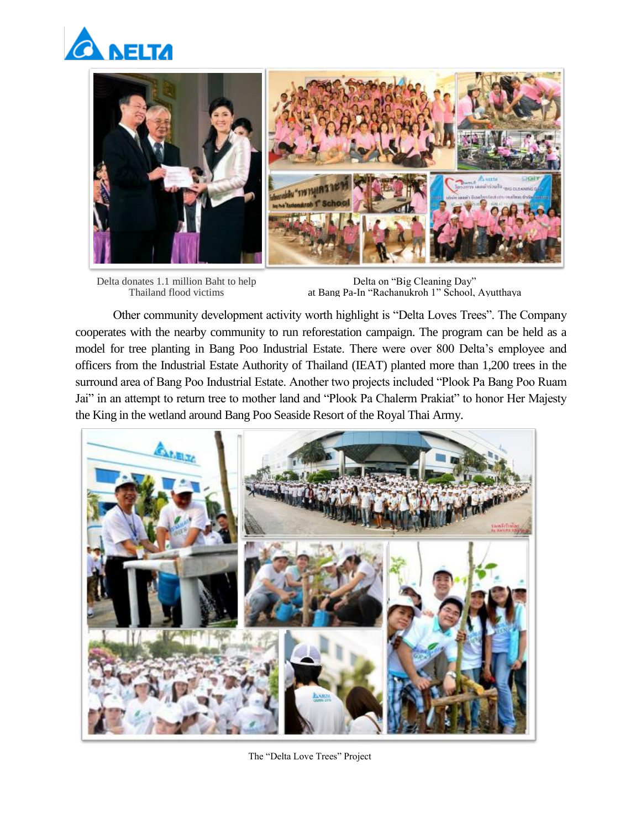



Delta donates 1.1 million Baht to help Thailand flood victims

Delta on "Big Cleaning Day" at Bang Pa-In "Rachanukroh 1" School, Ayutthaya

Other community development activity worth highlight is "Delta Loves Trees". The Company cooperates with the nearby community to run reforestation campaign. The program can be held as a model for tree planting in Bang Poo Industrial Estate. There were over 800 Delta's employee and officers from the Industrial Estate Authority of Thailand (IEAT) planted more than 1,200 trees in the surround area of Bang Poo Industrial Estate. Another two projects included "Plook Pa Bang Poo Ruam Jai" in an attempt to return tree to mother land and "Plook Pa Chalerm Prakiat" to honor Her Majesty the King in the wetland around Bang Poo Seaside Resort of the Royal Thai Army.



The "Delta Love Trees" Project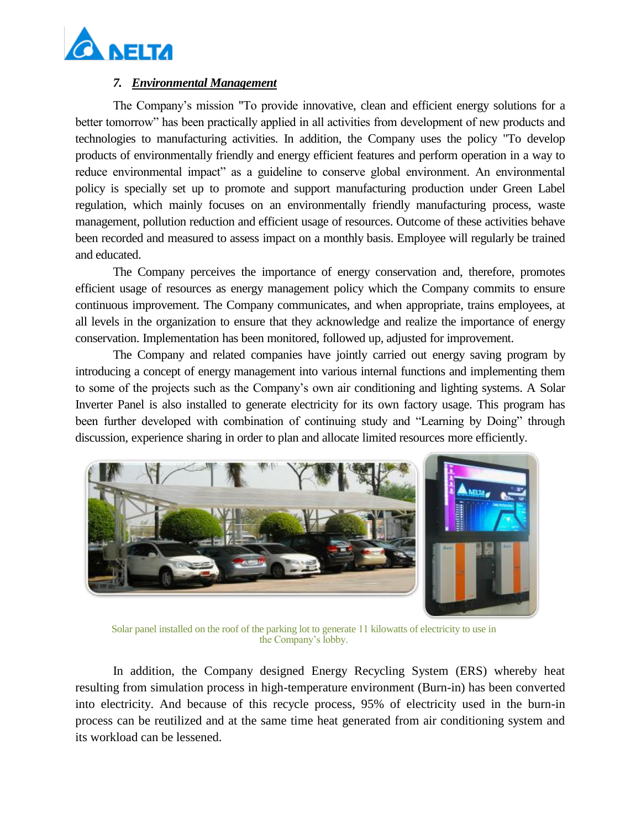

### *7. Environmental Management*

The Company's mission "To provide innovative, clean and efficient energy solutions for a better tomorrow" has been practically applied in all activities from development of new products and technologies to manufacturing activities. In addition, the Company uses the policy "To develop products of environmentally friendly and energy efficient features and perform operation in a way to reduce environmental impact" as a guideline to conserve global environment. An environmental policy is specially set up to promote and support manufacturing production under Green Label regulation, which mainly focuses on an environmentally friendly manufacturing process, waste management, pollution reduction and efficient usage of resources. Outcome of these activities behave been recorded and measured to assess impact on a monthly basis. Employee will regularly be trained and educated.

The Company perceives the importance of energy conservation and, therefore, promotes efficient usage of resources as energy management policy which the Company commits to ensure continuous improvement. The Company communicates, and when appropriate, trains employees, at all levels in the organization to ensure that they acknowledge and realize the importance of energy conservation. Implementation has been monitored, followed up, adjusted for improvement.

The Company and related companies have jointly carried out energy saving program by introducing a concept of energy management into various internal functions and implementing them to some of the projects such as the Company's own air conditioning and lighting systems. A Solar Inverter Panel is also installed to generate electricity for its own factory usage. This program has been further developed with combination of continuing study and "Learning by Doing" through discussion, experience sharing in order to plan and allocate limited resources more efficiently.



Solar panel installed on the roof of the parking lot to generate 11 kilowatts of electricity to use in the Company's lobby.

In addition, the Company designed Energy Recycling System (ERS) whereby heat resulting from simulation process in high-temperature environment (Burn-in) has been converted into electricity. And because of this recycle process, 95% of electricity used in the burn-in process can be reutilized and at the same time heat generated from air conditioning system and its workload can be lessened.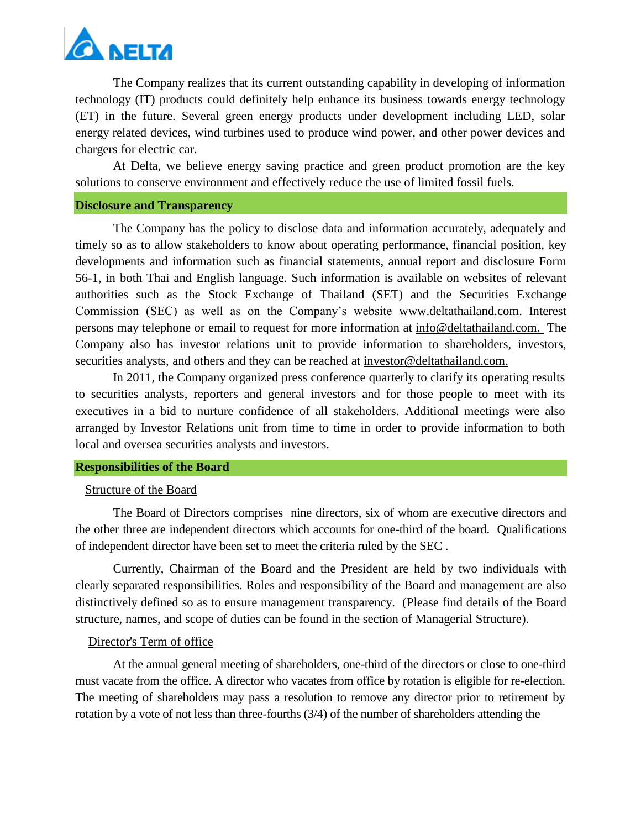

The Company realizes that its current outstanding capability in developing of information technology (IT) products could definitely help enhance its business towards energy technology (ET) in the future. Several green energy products under development including LED, solar energy related devices, wind turbines used to produce wind power, and other power devices and chargers for electric car.

At Delta, we believe energy saving practice and green product promotion are the key solutions to conserve environment and effectively reduce the use of limited fossil fuels.

#### **Disclosure and Transparency**

The Company has the policy to disclose data and information accurately, adequately and timely so as to allow stakeholders to know about operating performance, financial position, key developments and information such as financial statements, annual report and disclosure Form 56-1, in both Thai and English language. Such information is available on websites of relevant authorities such as the Stock Exchange of Thailand (SET) and the Securities Exchange Commission (SEC) as well as on the Company's website [www.deltathailand.com.](http://www.deltathailand.com/) Interest persons may telephone or email to request for more information at [info@deltathailand.com.](mailto:info@deltathailand.com) The Company also has investor relations unit to provide information to shareholders, investors, securities analysts, and others and they can be reached at [investor@deltathailand.com.](mailto:investor@deltathailand.com)

In 2011, the Company organized press conference quarterly to clarify its operating results to securities analysts, reporters and general investors and for those people to meet with its executives in a bid to nurture confidence of all stakeholders. Additional meetings were also arranged by Investor Relations unit from time to time in order to provide information to both local and oversea securities analysts and investors.

#### **Responsibilities of the Board**

#### Structure of the Board

The Board of Directors comprises nine directors, six of whom are executive directors and the other three are independent directors which accounts for one-third of the board. Qualifications of independent director have been set to meet the criteria ruled by the SEC .

Currently, Chairman of the Board and the President are held by two individuals with clearly separated responsibilities. Roles and responsibility of the Board and management are also distinctively defined so as to ensure management transparency. (Please find details of the Board structure, names, and scope of duties can be found in the section of Managerial Structure).

#### Director's Term of office

At the annual general meeting of shareholders, one-third of the directors or close to one-third must vacate from the office. A director who vacates from office by rotation is eligible for re-election. The meeting of shareholders may pass a resolution to remove any director prior to retirement by rotation by a vote of not less than three-fourths (3/4) of the number of shareholders attending the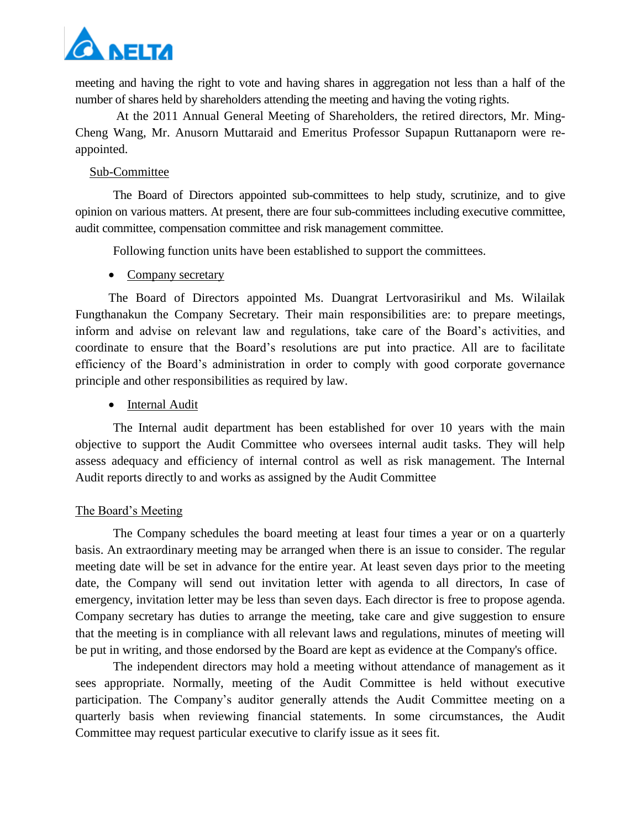

meeting and having the right to vote and having shares in aggregation not less than a half of the number of shares held by shareholders attending the meeting and having the voting rights.

At the 2011 Annual General Meeting of Shareholders, the retired directors, Mr. Ming-Cheng Wang, Mr. Anusorn Muttaraid and Emeritus Professor Supapun Ruttanaporn were reappointed.

#### Sub-Committee

The Board of Directors appointed sub-committees to help study, scrutinize, and to give opinion on various matters. At present, there are four sub-committees including executive committee, audit committee, compensation committee and risk management committee.

Following function units have been established to support the committees.

#### • Company secretary

The Board of Directors appointed Ms. Duangrat Lertvorasirikul and Ms. Wilailak Fungthanakun the Company Secretary. Their main responsibilities are: to prepare meetings, inform and advise on relevant law and regulations, take care of the Board's activities, and coordinate to ensure that the Board's resolutions are put into practice. All are to facilitate efficiency of the Board's administration in order to comply with good corporate governance principle and other responsibilities as required by law.

• Internal Audit

The Internal audit department has been established for over 10 years with the main objective to support the Audit Committee who oversees internal audit tasks. They will help assess adequacy and efficiency of internal control as well as risk management. The Internal Audit reports directly to and works as assigned by the Audit Committee

#### The Board's Meeting

The Company schedules the board meeting at least four times a year or on a quarterly basis. An extraordinary meeting may be arranged when there is an issue to consider. The regular meeting date will be set in advance for the entire year. At least seven days prior to the meeting date, the Company will send out invitation letter with agenda to all directors, In case of emergency, invitation letter may be less than seven days. Each director is free to propose agenda. Company secretary has duties to arrange the meeting, take care and give suggestion to ensure that the meeting is in compliance with all relevant laws and regulations, minutes of meeting will be put in writing, and those endorsed by the Board are kept as evidence at the Company's office.

The independent directors may hold a meeting without attendance of management as it sees appropriate. Normally, meeting of the Audit Committee is held without executive participation. The Company's auditor generally attends the Audit Committee meeting on a quarterly basis when reviewing financial statements. In some circumstances, the Audit Committee may request particular executive to clarify issue as it sees fit.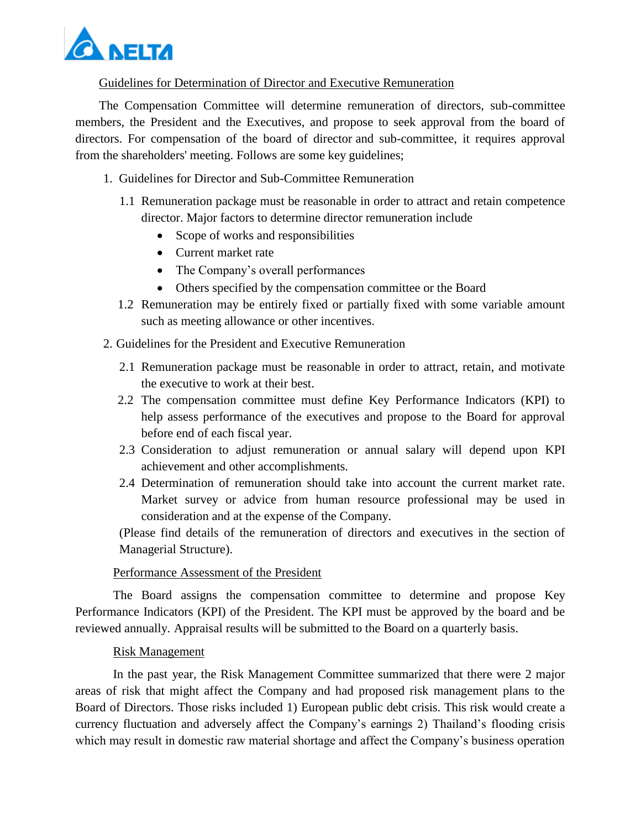

Guidelines for Determination of Director and Executive Remuneration

The Compensation Committee will determine remuneration of directors, sub-committee members, the President and the Executives, and propose to seek approval from the board of directors. For compensation of the board of director and sub-committee, it requires approval from the shareholders' meeting. Follows are some key guidelines;

- 1. Guidelines for Director and Sub-Committee Remuneration
	- 1.1 Remuneration package must be reasonable in order to attract and retain competence director. Major factors to determine director remuneration include
		- Scope of works and responsibilities
		- Current market rate
		- The Company's overall performances
		- Others specified by the compensation committee or the Board
	- 1.2 Remuneration may be entirely fixed or partially fixed with some variable amount such as meeting allowance or other incentives.
- 2. Guidelines for the President and Executive Remuneration
	- 2.1 Remuneration package must be reasonable in order to attract, retain, and motivate the executive to work at their best.
	- 2.2 The compensation committee must define Key Performance Indicators (KPI) to help assess performance of the executives and propose to the Board for approval before end of each fiscal year.
	- 2.3 Consideration to adjust remuneration or annual salary will depend upon KPI achievement and other accomplishments.
	- 2.4 Determination of remuneration should take into account the current market rate. Market survey or advice from human resource professional may be used in consideration and at the expense of the Company.

(Please find details of the remuneration of directors and executives in the section of Managerial Structure).

## Performance Assessment of the President

The Board assigns the compensation committee to determine and propose Key Performance Indicators (KPI) of the President. The KPI must be approved by the board and be reviewed annually. Appraisal results will be submitted to the Board on a quarterly basis.

## Risk Management

In the past year, the Risk Management Committee summarized that there were 2 major areas of risk that might affect the Company and had proposed risk management plans to the Board of Directors. Those risks included 1) European public debt crisis. This risk would create a currency fluctuation and adversely affect the Company's earnings 2) Thailand's flooding crisis which may result in domestic raw material shortage and affect the Company's business operation